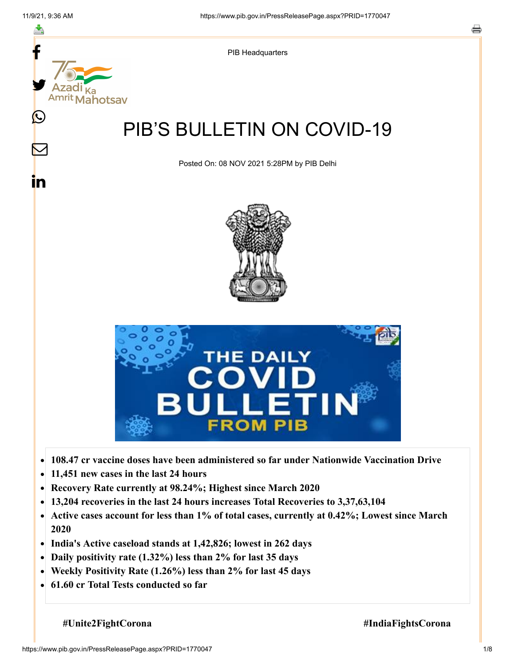≛

 $\bm{\nabla}$ 

<u>in</u>



PIB Headquarters

# PIB'S BULLETIN ON COVID-19

Posted On: 08 NOV 2021 5:28PM by PIB Delhi





- **108.47 cr vaccine doses have been administered so far under Nationwide Vaccination Drive**  $\bullet$
- **11,451 new cases in the last 24 hours**  $\bullet$
- **Recovery Rate currently at 98.24%; Highest since March 2020**  $\bullet$
- **13,204 recoveries in the last 24 hours increases Total Recoveries to 3,37,63,104**  $\bullet$
- **Active cases account for less than 1% of total cases, currently at 0.42%; Lowest since March**  $\bullet$ **2020**
- **India's Active caseload stands at 1,42,826; lowest in 262 days**  $\bullet$
- **Daily positivity rate (1.32%) less than 2% for last 35 days**  $\bullet$
- **Weekly Positivity Rate (1.26%) less than 2% for last 45 days**  $\bullet$
- **61.60 cr Total Tests conducted so far**  $\bullet$

 **#Unite2FightCorona #IndiaFightsCorona**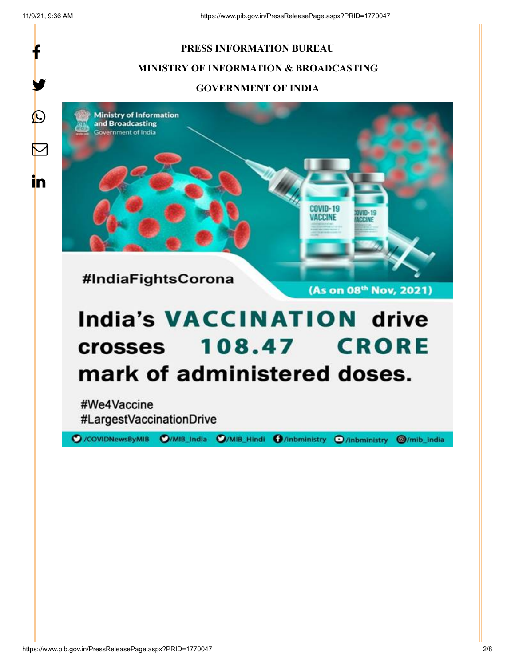f

y.

 $\bigcirc$ 

 $\boxtimes$ 

in

#### **PRESS INFORMATION BUREAU**

#### **MINISTRY OF INFORMATION & BROADCASTING**

#### **GOVERNMENT OF INDIA**

**Ministry of Information** and Broadcasting Sovernment of India



#IndiaFightsCorona

(As on 08th Nov, 2021)

COVID-19 **ACCINE** 

# **India's VACCINATION drive 108.47 CRORE crosses** mark of administered doses.

#We4Vaccine #LargestVaccinationDrive

O/COVIDNewsByMIB O/MIB\_India O/MIB\_Hindi O/inbministry O/inbministry

**@/mib\_india**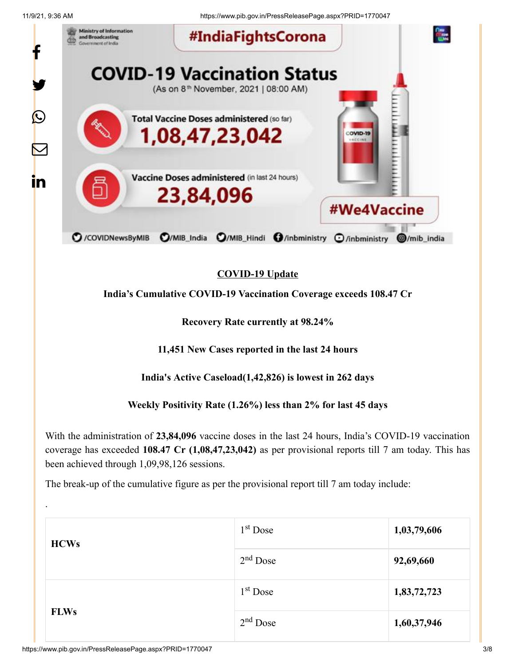.

11/9/21, 9:36 AM https://www.pib.gov.in/PressReleasePage.aspx?PRID=1770047



## **COVID-19 Update**

**India's Cumulative COVID-19 Vaccination Coverage exceeds 108.47 Cr**

**Recovery Rate currently at 98.24%**

**11,451 New Cases reported in the last 24 hours**

**India's Active Caseload(1,42,826) is lowest in 262 days**

**Weekly Positivity Rate (1.26%) less than 2% for last 45 days**

With the administration of **23,84,096** vaccine doses in the last 24 hours, India's COVID-19 vaccination coverage has exceeded **108.47 Cr (1,08,47,23,042)** as per provisional reports till 7 am today. This has been achieved through 1,09,98,126 sessions.

The break-up of the cumulative figure as per the provisional report till 7 am today include:

| <b>HCWs</b> | 1 <sup>st</sup> Dose | 1,03,79,606 |
|-------------|----------------------|-------------|
|             | $2nd$ Dose           | 92,69,660   |
| <b>FLWs</b> | $1st$ Dose           | 1,83,72,723 |
|             | $2nd$ Dose           | 1,60,37,946 |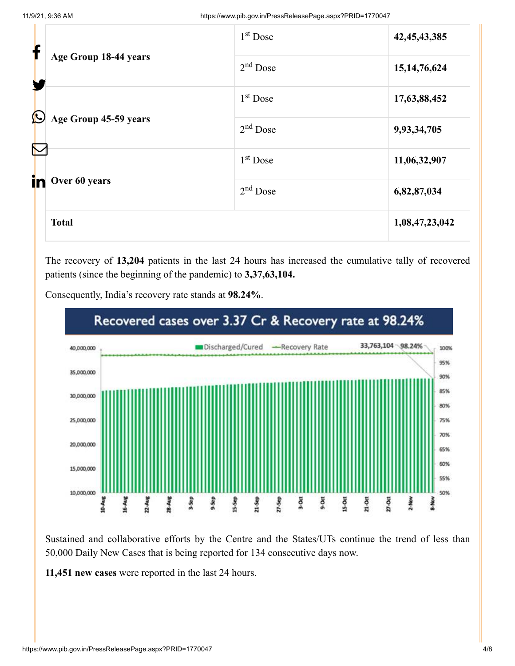| f                         |                       | 1 <sup>st</sup> Dose | 42, 45, 43, 385 |
|---------------------------|-----------------------|----------------------|-----------------|
|                           | Age Group 18-44 years | $2nd$ Dose           | 15, 14, 76, 624 |
| $\bigcirc$                |                       | 1 <sup>st</sup> Dose | 17,63,88,452    |
|                           | Age Group 45-59 years | $2nd$ Dose           | 9,93,34,705     |
| $\color{red}\nabla$<br>in | Over 60 years         | $1st$ Dose           | 11,06,32,907    |
|                           |                       | $2nd$ Dose           | 6,82,87,034     |
|                           | <b>Total</b>          |                      | 1,08,47,23,042  |

The recovery of **13,204** patients in the last 24 hours has increased the cumulative tally of recovered patients (since the beginning of the pandemic) to **3,37,63,104.**



Consequently, India's recovery rate stands at **98.24%**.

Sustained and collaborative efforts by the Centre and the States/UTs continue the trend of less than 50,000 Daily New Cases that is being reported for 134 consecutive days now.

**11,451 new cases** were reported in the last 24 hours.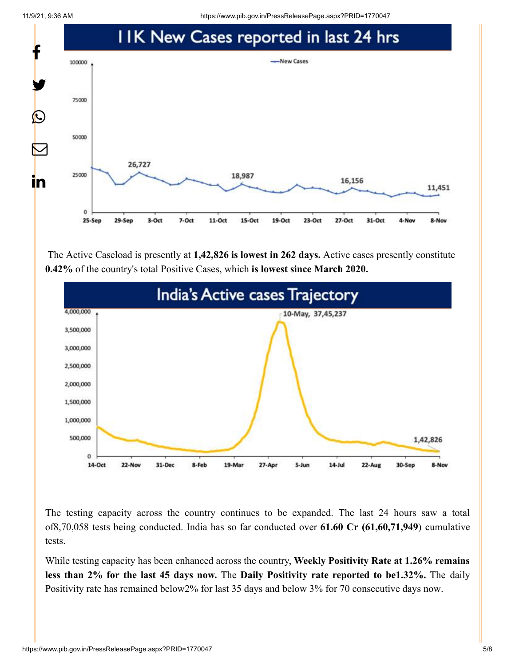11/9/21, 9:36 AM https://www.pib.gov.in/PressReleasePage.aspx?PRID=1770047



The Active Caseload is presently at **1,42,826 is lowest in 262 days.** Active cases presently constitute **0.42%** of the country's total Positive Cases, which **is lowest since March 2020.**



The testing capacity across the country continues to be expanded. The last 24 hours saw a total of8,70,058 tests being conducted. India has so far conducted over **61.60 Cr (61,60,71,949**) cumulative tests.

While testing capacity has been enhanced across the country, **Weekly Positivity Rate at 1.26% remains less than 2% for the last 45 days now.** The **Daily Positivity rate reported to be1.32%.** The daily Positivity rate has remained below2% for last 35 days and below 3% for 70 consecutive days now.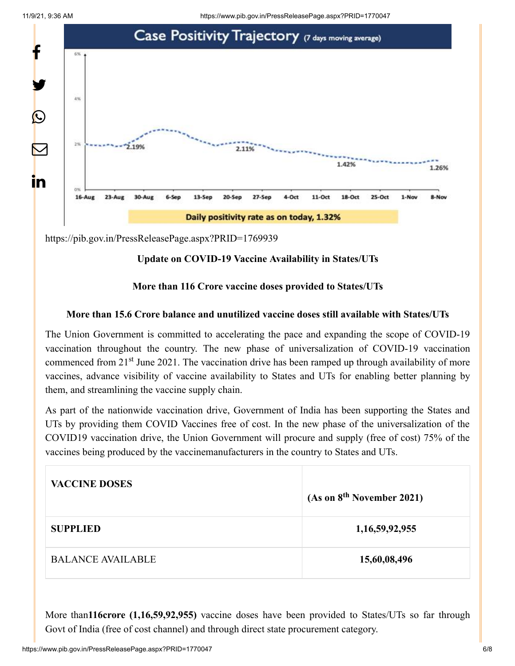

<https://pib.gov.in/PressReleasePage.aspx?PRID=1769939>

### **Update on COVID-19 Vaccine Availability in States/UTs**

### **More than 116 Crore vaccine doses provided to States/UTs**

#### **More than 15.6 Crore balance and unutilized vaccine doses still available with States/UTs**

The Union Government is committed to accelerating the pace and expanding the scope of COVID-19 vaccination throughout the country. The new phase of universalization of COVID-19 vaccination commenced from 21<sup>st</sup> June 2021. The vaccination drive has been ramped up through availability of more vaccines, advance visibility of vaccine availability to States and UTs for enabling better planning by them, and streamlining the vaccine supply chain.

As part of the nationwide vaccination drive, Government of India has been supporting the States and UTs by providing them COVID Vaccines free of cost. In the new phase of the universalization of the COVID19 vaccination drive, the Union Government will procure and supply (free of cost) 75% of the vaccines being produced by the vaccinemanufacturers in the country to States and UTs.

| <b>VACCINE DOSES</b>     | (As on 8 <sup>th</sup> November 2021) |
|--------------------------|---------------------------------------|
| <b>SUPPLIED</b>          | 1,16,59,92,955                        |
| <b>BALANCE AVAILABLE</b> | 15,60,08,496                          |

More than**116crore (1,16,59,92,955)** vaccine doses have been provided to States/UTs so far through Govt of India (free of cost channel) and through direct state procurement category.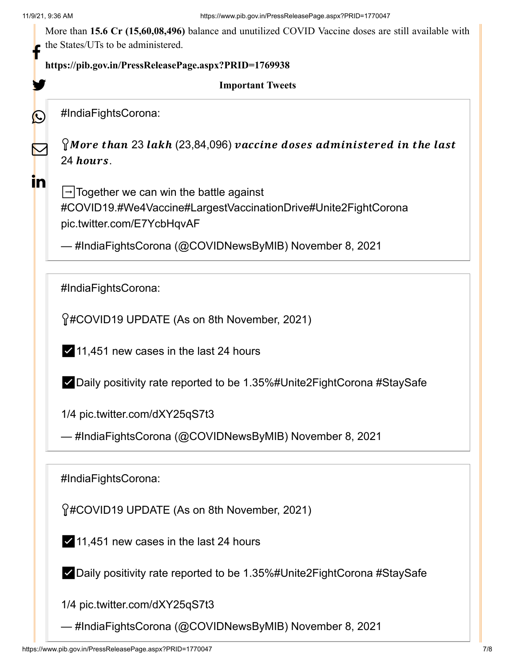y.

 $\Omega$ 

 $\mathbf \Xi$ 

in

More than **15.6 Cr (15,60,08,496)** balance and unutilized COVID Vaccine doses are still available with the States/UTs to be administered.

# **<https://pib.gov.in/PressReleasePage.aspx?PRID=1769938>** f

#### **Important Tweets**

[#IndiaFightsCorona](https://twitter.com/hashtag/IndiaFightsCorona?src=hash&ref_src=twsrc%5Etfw):

 $\Omega$ More than 23 lakh (23,84,096) vaccine doses administered in the last 24 hours.

 $\rightarrow$  Together we can win the battle against [#COVID19](https://twitter.com/hashtag/COVID19?src=hash&ref_src=twsrc%5Etfw)[.#We4Vaccine](https://twitter.com/hashtag/We4Vaccine?src=hash&ref_src=twsrc%5Etfw)[#LargestVaccinationDrive](https://twitter.com/hashtag/LargestVaccinationDrive?src=hash&ref_src=twsrc%5Etfw)[#Unite2FightCorona](https://twitter.com/hashtag/Unite2FightCorona?src=hash&ref_src=twsrc%5Etfw) [pic.twitter.com/E7YcbHqvAF](https://t.co/E7YcbHqvAF)

— #IndiaFightsCorona (@COVIDNewsByMIB) [November 8, 2021](https://twitter.com/COVIDNewsByMIB/status/1457618945825857541?ref_src=twsrc%5Etfw)

[#IndiaFightsCorona](https://twitter.com/hashtag/IndiaFightsCorona?src=hash&ref_src=twsrc%5Etfw):

[#COVID19](https://twitter.com/hashtag/COVID19?src=hash&ref_src=twsrc%5Etfw) UPDATE (As on 8th November, 2021)

✅11,451 new cases in the last 24 hours

✅Daily positivity rate reported to be 1.35%[#Unite2FightCorona](https://twitter.com/hashtag/Unite2FightCorona?src=hash&ref_src=twsrc%5Etfw) [#StaySafe](https://twitter.com/hashtag/StaySafe?src=hash&ref_src=twsrc%5Etfw)

1/4 [pic.twitter.com/dXY25qS7t3](https://t.co/dXY25qS7t3)

— #IndiaFightsCorona (@COVIDNewsByMIB) [November 8, 2021](https://twitter.com/COVIDNewsByMIB/status/1457643764432850945?ref_src=twsrc%5Etfw)

[#IndiaFightsCorona](https://twitter.com/hashtag/IndiaFightsCorona?src=hash&ref_src=twsrc%5Etfw):

[#COVID19](https://twitter.com/hashtag/COVID19?src=hash&ref_src=twsrc%5Etfw) UPDATE (As on 8th November, 2021)

✅11,451 new cases in the last 24 hours

✅Daily positivity rate reported to be 1.35%[#Unite2FightCorona](https://twitter.com/hashtag/Unite2FightCorona?src=hash&ref_src=twsrc%5Etfw) [#StaySafe](https://twitter.com/hashtag/StaySafe?src=hash&ref_src=twsrc%5Etfw)

1/4 [pic.twitter.com/dXY25qS7t3](https://t.co/dXY25qS7t3)

— #IndiaFightsCorona (@COVIDNewsByMIB) [November 8, 2021](https://twitter.com/COVIDNewsByMIB/status/1457643764432850945?ref_src=twsrc%5Etfw)